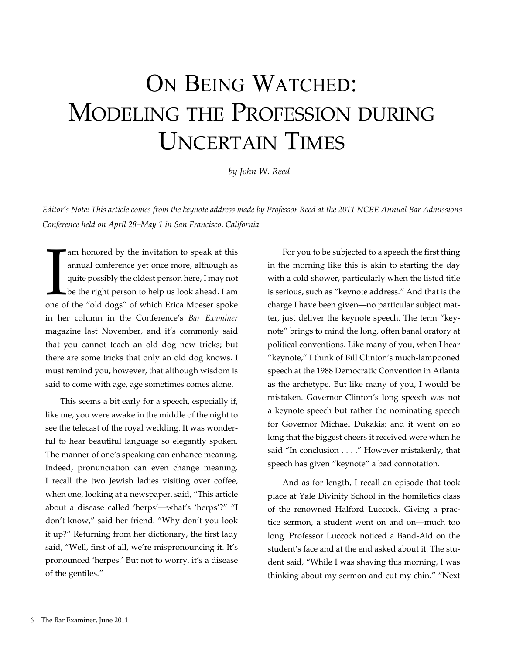# ON BEING WATCHED: Modeling the Profession during Uncertain Times

*by John W. Reed* 

*Editor's Note: This article comes from the keynote address made by Professor Reed at the 2011 NCBE Annual Bar Admissions Conference held on April 28–May 1 in San Francisco, California.*

I am honored by the invitation to speak at this annual conference yet once more, although as quite possibly the oldest person here, I may not be the right person to help us look ahead. I am one of the "old dogs" of which E annual conference yet once more, although as quite possibly the oldest person here, I may not be the right person to help us look ahead. I am in her column in the Conference's *Bar Examiner*  magazine last November, and it's commonly said that you cannot teach an old dog new tricks; but there are some tricks that only an old dog knows. I must remind you, however, that although wisdom is said to come with age, age sometimes comes alone.

This seems a bit early for a speech, especially if, like me, you were awake in the middle of the night to see the telecast of the royal wedding. It was wonderful to hear beautiful language so elegantly spoken. The manner of one's speaking can enhance meaning. Indeed, pronunciation can even change meaning. I recall the two Jewish ladies visiting over coffee, when one, looking at a newspaper, said, "This article about a disease called 'herps'—what's 'herps'?" "I don't know," said her friend. "Why don't you look it up?" Returning from her dictionary, the first lady said, "Well, first of all, we're mispronouncing it. It's pronounced 'herpes.' But not to worry, it's a disease of the gentiles."

For you to be subjected to a speech the first thing in the morning like this is akin to starting the day with a cold shower, particularly when the listed title is serious, such as "keynote address." And that is the charge I have been given—no particular subject matter, just deliver the keynote speech. The term "keynote" brings to mind the long, often banal oratory at political conventions. Like many of you, when I hear "keynote," I think of Bill Clinton's much-lampooned speech at the 1988 Democratic Convention in Atlanta as the archetype. But like many of you, I would be mistaken. Governor Clinton's long speech was not a keynote speech but rather the nominating speech for Governor Michael Dukakis; and it went on so long that the biggest cheers it received were when he said "In conclusion . . . ." However mistakenly, that speech has given "keynote" a bad connotation.

And as for length, I recall an episode that took place at Yale Divinity School in the homiletics class of the renowned Halford Luccock. Giving a practice sermon, a student went on and on—much too long. Professor Luccock noticed a Band-Aid on the student's face and at the end asked about it. The student said, "While I was shaving this morning, I was thinking about my sermon and cut my chin." "Next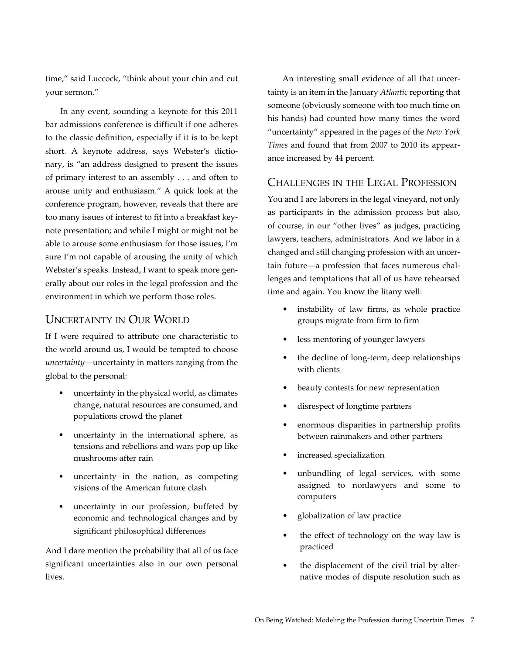time," said Luccock, "think about your chin and cut your sermon."

In any event, sounding a keynote for this 2011 bar admissions conference is difficult if one adheres to the classic definition, especially if it is to be kept short. A keynote address, says Webster's dictionary, is "an address designed to present the issues of primary interest to an assembly . . . and often to arouse unity and enthusiasm." A quick look at the conference program, however, reveals that there are too many issues of interest to fit into a breakfast keynote presentation; and while I might or might not be able to arouse some enthusiasm for those issues, I'm sure I'm not capable of arousing the unity of which Webster's speaks. Instead, I want to speak more generally about our roles in the legal profession and the environment in which we perform those roles.

#### Uncertainty in Our World

If I were required to attribute one characteristic to the world around us, I would be tempted to choose *uncertainty*—uncertainty in matters ranging from the global to the personal:

- uncertainty in the physical world, as climates change, natural resources are consumed, and populations crowd the planet
- uncertainty in the international sphere, as tensions and rebellions and wars pop up like mushrooms after rain
- uncertainty in the nation, as competing visions of the American future clash
- uncertainty in our profession, buffeted by economic and technological changes and by significant philosophical differences

And I dare mention the probability that all of us face significant uncertainties also in our own personal lives.

An interesting small evidence of all that uncertainty is an item in the January *Atlantic* reporting that someone (obviously someone with too much time on his hands) had counted how many times the word "uncertainty" appeared in the pages of the *New York Times* and found that from 2007 to 2010 its appearance increased by 44 percent.

#### Challenges in the Legal Profession

You and I are laborers in the legal vineyard, not only as participants in the admission process but also, of course, in our "other lives" as judges, practicing lawyers, teachers, administrators. And we labor in a changed and still changing profession with an uncertain future—a profession that faces numerous challenges and temptations that all of us have rehearsed time and again. You know the litany well:

- instability of law firms, as whole practice groups migrate from firm to firm
- less mentoring of younger lawyers
- the decline of long-term, deep relationships with clients
- beauty contests for new representation
- disrespect of longtime partners
- enormous disparities in partnership profits between rainmakers and other partners
- increased specialization
- unbundling of legal services, with some assigned to nonlawyers and some to computers
- globalization of law practice
- the effect of technology on the way law is practiced
- the displacement of the civil trial by alternative modes of dispute resolution such as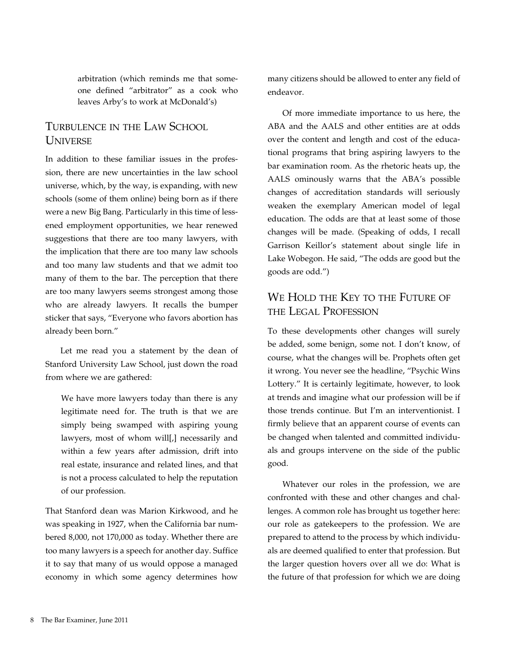arbitration (which reminds me that someone defined "arbitrator" as a cook who leaves Arby's to work at McDonald's)

## Turbulence in the Law School **UNIVERSE**

In addition to these familiar issues in the profession, there are new uncertainties in the law school universe, which, by the way, is expanding, with new schools (some of them online) being born as if there were a new Big Bang. Particularly in this time of lessened employment opportunities, we hear renewed suggestions that there are too many lawyers, with the implication that there are too many law schools and too many law students and that we admit too many of them to the bar. The perception that there are too many lawyers seems strongest among those who are already lawyers. It recalls the bumper sticker that says, "Everyone who favors abortion has already been born."

Let me read you a statement by the dean of Stanford University Law School, just down the road from where we are gathered:

We have more lawyers today than there is any legitimate need for. The truth is that we are simply being swamped with aspiring young lawyers, most of whom will[,] necessarily and within a few years after admission, drift into real estate, insurance and related lines, and that is not a process calculated to help the reputation of our profession.

That Stanford dean was Marion Kirkwood, and he was speaking in 1927, when the California bar numbered 8,000, not 170,000 as today. Whether there are too many lawyers is a speech for another day. Suffice it to say that many of us would oppose a managed economy in which some agency determines how

many citizens should be allowed to enter any field of endeavor.

Of more immediate importance to us here, the ABA and the AALS and other entities are at odds over the content and length and cost of the educational programs that bring aspiring lawyers to the bar examination room. As the rhetoric heats up, the AALS ominously warns that the ABA's possible changes of accreditation standards will seriously weaken the exemplary American model of legal education. The odds are that at least some of those changes will be made. (Speaking of odds, I recall Garrison Keillor's statement about single life in Lake Wobegon. He said, "The odds are good but the goods are odd.")

### We HOLD THE KEY TO THE FUTURE OF the Legal Profession

To these developments other changes will surely be added, some benign, some not. I don't know, of course, what the changes will be. Prophets often get it wrong. You never see the headline, "Psychic Wins Lottery." It is certainly legitimate, however, to look at trends and imagine what our profession will be if those trends continue. But I'm an interventionist. I firmly believe that an apparent course of events can be changed when talented and committed individuals and groups intervene on the side of the public good.

Whatever our roles in the profession, we are confronted with these and other changes and challenges. A common role has brought us together here: our role as gatekeepers to the profession. We are prepared to attend to the process by which individuals are deemed qualified to enter that profession. But the larger question hovers over all we do: What is the future of that profession for which we are doing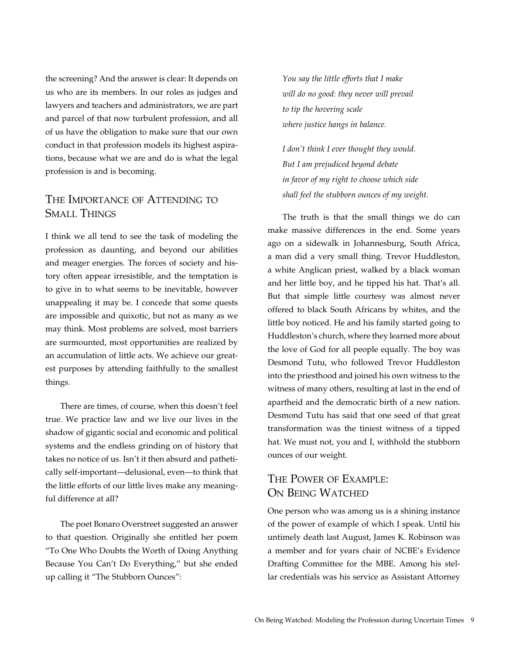the screening? And the answer is clear: It depends on us who are its members. In our roles as judges and lawyers and teachers and administrators, we are part and parcel of that now turbulent profession, and all of us have the obligation to make sure that our own conduct in that profession models its highest aspirations, because what we are and do is what the legal profession is and is becoming.

#### The Importance of Attending to Small Things

I think we all tend to see the task of modeling the profession as daunting, and beyond our abilities and meager energies. The forces of society and history often appear irresistible, and the temptation is to give in to what seems to be inevitable, however unappealing it may be. I concede that some quests are impossible and quixotic, but not as many as we may think. Most problems are solved, most barriers are surmounted, most opportunities are realized by an accumulation of little acts. We achieve our greatest purposes by attending faithfully to the smallest things.

There are times, of course, when this doesn't feel true. We practice law and we live our lives in the shadow of gigantic social and economic and political systems and the endless grinding on of history that takes no notice of us. Isn't it then absurd and pathetically self-important—delusional, even—to think that the little efforts of our little lives make any meaningful difference at all?

The poet Bonaro Overstreet suggested an answer to that question. Originally she entitled her poem "To One Who Doubts the Worth of Doing Anything Because You Can't Do Everything," but she ended up calling it "The Stubborn Ounces":

*You say the little efforts that I make will do no good: they never will prevail to tip the hovering scale where justice hangs in balance.*

*I don't think I ever thought they would. But I am prejudiced beyond debate in favor of my right to choose which side shall feel the stubborn ounces of my weight.*

The truth is that the small things we do can make massive differences in the end. Some years ago on a sidewalk in Johannesburg, South Africa, a man did a very small thing. Trevor Huddleston, a white Anglican priest, walked by a black woman and her little boy, and he tipped his hat. That's all. But that simple little courtesy was almost never offered to black South Africans by whites, and the little boy noticed. He and his family started going to Huddleston's church, where they learned more about the love of God for all people equally. The boy was Desmond Tutu, who followed Trevor Huddleston into the priesthood and joined his own witness to the witness of many others, resulting at last in the end of apartheid and the democratic birth of a new nation. Desmond Tutu has said that one seed of that great transformation was the tiniest witness of a tipped hat. We must not, you and I, withhold the stubborn ounces of our weight.

# The Power of Example: ON BEING WATCHED

One person who was among us is a shining instance of the power of example of which I speak. Until his untimely death last August, James K. Robinson was a member and for years chair of NCBE's Evidence Drafting Committee for the MBE. Among his stellar credentials was his service as Assistant Attorney